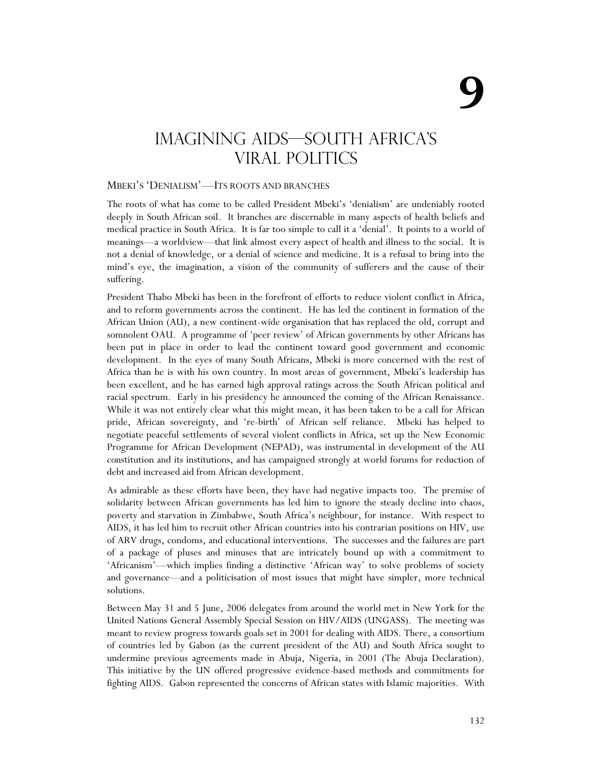# Imagining AIDS—South Africa's Viral Politics

### MBEKI'S 'DENIALISM'—ITS ROOTS AND BRANCHES

The roots of what has come to be called President Mbeki's 'denialism' are undeniably rooted deeply in South African soil. It branches are discernable in many aspects of health beliefs and medical practice in South Africa. It is far too simple to call it a 'denial'. It points to a world of meanings—a worldview—that link almost every aspect of health and illness to the social. It is not a denial of knowledge, or a denial of science and medicine. It is a refusal to bring into the mind's eye, the imagination, a vision of the community of sufferers and the cause of their suffering.

President Thabo Mbeki has been in the forefront of efforts to reduce violent conflict in Africa, and to reform governments across the continent. He has led the continent in formation of the African Union (AU), a new continent-wide organisation that has replaced the old, corrupt and somnolent OAU. A programme of 'peer review' of African governments by other Africans has been put in place in order to lead the continent toward good government and economic development. In the eyes of many South Africans, Mbeki is more concerned with the rest of Africa than he is with his own country. In most areas of government, Mbeki's leadership has been excellent, and he has earned high approval ratings across the South African political and racial spectrum. Early in his presidency he announced the coming of the African Renaissance. While it was not entirely clear what this might mean, it has been taken to be a call for African pride, African sovereignty, and 're-birth' of African self reliance. Mbeki has helped to negotiate peaceful settlements of several violent conflicts in Africa, set up the New Economic Programme for African Development (NEPAD), was instrumental in development of the AU constitution and its institutions, and has campaigned strongly at world forums for reduction of debt and increased aid from African development.

As admirable as these efforts have been, they have had negative impacts too. The premise of solidarity between African governments has led him to ignore the steady decline into chaos, poverty and starvation in Zimbabwe, South Africa's neighbour, for instance. With respect to AIDS, it has led him to recruit other African countries into his contrarian positions on HIV, use of ARV drugs, condoms, and educational interventions. The successes and the failures are part of a package of pluses and minuses that are intricately bound up with a commitment to 'Africanism'—which implies finding a distinctive 'African way' to solve problems of society and governance—and a politicisation of most issues that might have simpler, more technical solutions.

Between May 31 and 5 June, 2006 delegates from around the world met in New York for the United Nations General Assembly Special Session on HIV/AIDS (UNGASS). The meeting was meant to review progress towards goals set in 2001 for dealing with AIDS. There, a consortium of countries led by Gabon (as the current president of the AU) and South Africa sought to undermine previous agreements made in Abuja, Nigeria, in 2001 (The Abuja Declaration). This initiative by the UN offered progressive evidence-based methods and commitments for fighting AIDS. Gabon represented the concerns of African states with Islamic majorities. With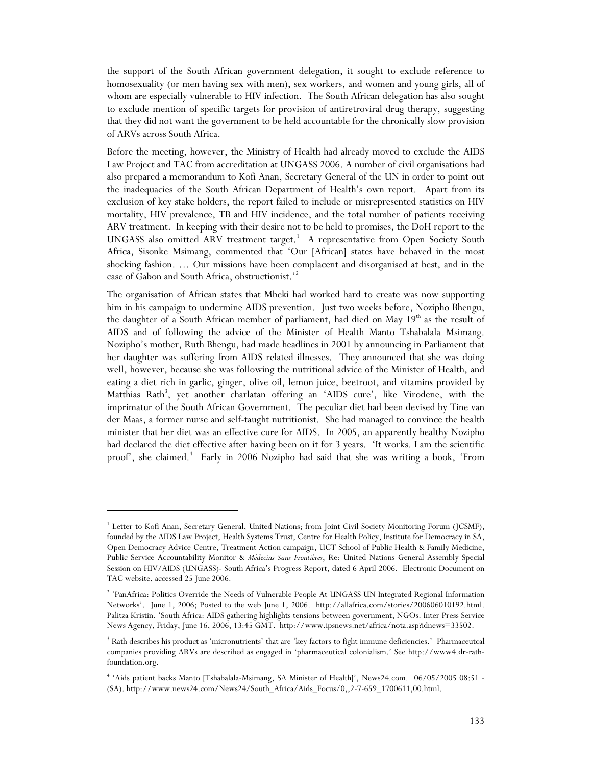the support of the South African government delegation, it sought to exclude reference to homosexuality (or men having sex with men), sex workers, and women and young girls, all of whom are especially vulnerable to HIV infection. The South African delegation has also sought to exclude mention of specific targets for provision of antiretroviral drug therapy, suggesting that they did not want the government to be held accountable for the chronically slow provision of ARVs across South Africa.

Before the meeting, however, the Ministry of Health had already moved to exclude the AIDS Law Project and TAC from accreditation at UNGASS 2006. A number of civil organisations had also prepared a memorandum to Kofi Anan, Secretary General of the UN in order to point out the inadequacies of the South African Department of Health's own report. Apart from its exclusion of key stake holders, the report failed to include or misrepresented statistics on HIV mortality, HIV prevalence, TB and HIV incidence, and the total number of patients receiving ARV treatment. In keeping with their desire not to be held to promises, the DoH report to the UNGASS also omitted ARV treatment target.<sup>1</sup> A representative from Open Society South Africa, Sisonke Msimang, commented that 'Our [African] states have behaved in the most shocking fashion. … Our missions have been complacent and disorganised at best, and in the case of Gabon and South Africa, obstructionist.'<sup>2</sup>

The organisation of African states that Mbeki had worked hard to create was now supporting him in his campaign to undermine AIDS prevention. Just two weeks before, Nozipho Bhengu, the daughter of a South African member of parliament, had died on May 19<sup>th</sup> as the result of AIDS and of following the advice of the Minister of Health Manto Tshabalala Msimang. Nozipho's mother, Ruth Bhengu, had made headlines in 2001 by announcing in Parliament that her daughter was suffering from AIDS related illnesses. They announced that she was doing well, however, because she was following the nutritional advice of the Minister of Health, and eating a diet rich in garlic, ginger, olive oil, lemon juice, beetroot, and vitamins provided by Matthias Rath<sup>3</sup>, yet another charlatan offering an 'AIDS cure', like Virodene, with the imprimatur of the South African Government. The peculiar diet had been devised by Tine van der Maas, a former nurse and self-taught nutritionist. She had managed to convince the health minister that her diet was an effective cure for AIDS. In 2005, an apparently healthy Nozipho had declared the diet effective after having been on it for 3 years. 'It works. I am the scientific proof', she claimed.<sup>4</sup> Early in 2006 Nozipho had said that she was writing a book, 'From

<sup>&</sup>lt;sup>1</sup> Letter to Kofi Anan, Secretary General, United Nations; from Joint Civil Society Monitoring Forum (JCSMF), founded by the AIDS Law Project, Health Systems Trust, Centre for Health Policy, Institute for Democracy in SA, Open Democracy Advice Centre, Treatment Action campaign, UCT School of Public Health & Family Medicine, Public Service Accountability Monitor & *Médecins Sans Frontières*, Re: United Nations General Assembly Special Session on HIV/AIDS (UNGASS)- South Africa's Progress Report, dated 6 April 2006. Electronic Document on TAC website, accessed 25 June 2006.

<sup>2</sup> 'PanAfrica: Politics Override the Needs of Vulnerable People At UNGASS UN Integrated Regional Information Networks'. June 1, 2006; Posted to the web June 1, 2006. http://allafrica.com/stories/200606010192.html. Palitza Kristin. 'South Africa: AIDS gathering highlights tensions between government, NGOs. Inter Press Service News Agency, Friday, June 16, 2006, 13:45 GMT. http://www.ipsnews.net/africa/nota.asp?idnews=33502.

<sup>&</sup>lt;sup>3</sup> Rath describes his product as 'micronutrients' that are 'key factors to fight immune deficiencies.' Pharmaceutcal companies providing ARVs are described as engaged in 'pharmaceutical colonialism.' See http://www4.dr-rathfoundation.org.

<sup>4</sup> 'Aids patient backs Manto [Tshabalala-Msimang, SA Minister of Health]', News24.com. 06/05/2005 08:51 - (SA). http://www.news24.com/News24/South\_Africa/Aids\_Focus/0,,2-7-659\_1700611,00.html.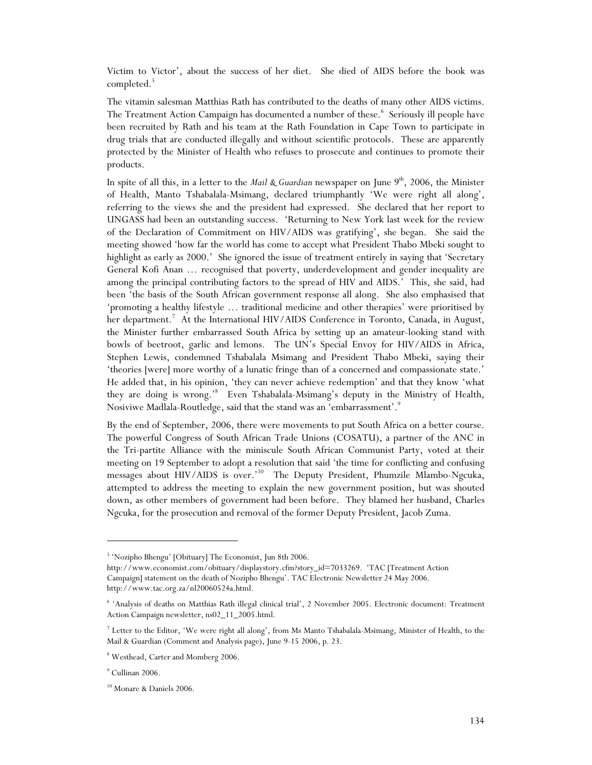Victim to Victor', about the success of her diet. She died of AIDS before the book was completed.<sup>5</sup>

The vitamin salesman Matthias Rath has contributed to the deaths of many other AIDS victims. The Treatment Action Campaign has documented a number of these.<sup>6</sup> Seriously ill people have been recruited by Rath and his team at the Rath Foundation in Cape Town to participate in drug trials that are conducted illegally and without scientific protocols. These are apparently protected by the Minister of Health who refuses to prosecute and continues to promote their products.

In spite of all this, in a letter to the *Mail & Guardian* newspaper on June 9<sup>th</sup>, 2006, the Minister of Health, Manto Tshabalala-Msimang, declared triumphantly 'We were right all along', referring to the views she and the president had expressed. She declared that her report to UNGASS had been an outstanding success. 'Returning to New York last week for the review of the Declaration of Commitment on HIV/AIDS was gratifying', she began. She said the meeting showed 'how far the world has come to accept what President Thabo Mbeki sought to highlight as early as 2000.' She ignored the issue of treatment entirely in saying that 'Secretary General Kofi Anan … recognised that poverty, underdevelopment and gender inequality are among the principal contributing factors to the spread of HIV and AIDS.' This, she said, had been 'the basis of the South African government response all along. She also emphasised that 'promoting a healthy lifestyle … traditional medicine and other therapies' were prioritised by her department.<sup>7</sup> At the International HIV/AIDS Conference in Toronto, Canada, in August, the Minister further embarrassed South Africa by setting up an amateur-looking stand with bowls of beetroot, garlic and lemons. The UN's Special Envoy for HIV/AIDS in Africa, Stephen Lewis, condemned Tshabalala Msimang and President Thabo Mbeki, saying their 'theories [were] more worthy of a lunatic fringe than of a concerned and compassionate state.' He added that, in his opinion, 'they can never achieve redemption' and that they know 'what they are doing is wrong.<sup>8</sup> Even Tshabalala-Msimang's deputy in the Ministry of Health, Nosiviwe Madlala-Routledge, said that the stand was an 'embarrassment'.<sup>9</sup>

By the end of September, 2006, there were movements to put South Africa on a better course. The powerful Congress of South African Trade Unions (COSATU), a partner of the ANC in the Tri-partite Alliance with the miniscule South African Communist Party, voted at their meeting on 19 September to adopt a resolution that said 'the time for conflicting and confusing messages about HIV/AIDS is over.'10 The Deputy President, Phumzile Mlambo-Ngcuka, attempted to address the meeting to explain the new government position, but was shouted down, as other members of government had been before. They blamed her husband, Charles Ngcuka, for the prosecution and removal of the former Deputy President, Jacob Zuma.

<sup>&</sup>lt;sup>5</sup> 'Nozipho Bhengu' [Obituary] The Economist, Jun 8th 2006.

http://www.economist.com/obituary/displaystory.cfm?story\_id=7033269. 'TAC [Treatment Action Campaign] statement on the death of Nozipho Bhengu'. TAC Electronic Newsletter 24 May 2006. http://www.tac.org.za/nl20060524a.html.

<sup>6</sup> 'Analysis of deaths on Matthias Rath illegal clinical trial', 2 November 2005. Electronic document: Treatment Action Campaign newsletter, ns02\_11\_2005.html.

<sup>&</sup>lt;sup>7</sup> Letter to the Editor, 'We were right all along', from Ms Manto Tshabalala-Msimang, Minister of Health, to the Mail & Guardian (Comment and Analysis page), June 9-15 2006, p. 23.

<sup>8</sup> Westhead, Carter and Momberg 2006.

 $<sup>9</sup>$  Cullinan 2006.</sup>

<sup>10</sup> Monare & Daniels 2006.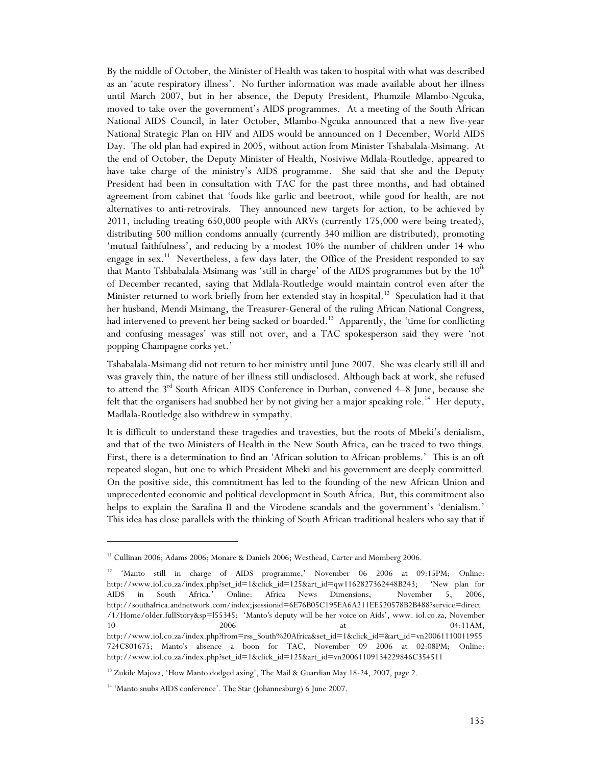By the middle of October, the Minister of Health was taken to hospital with what was described as an 'acute respiratory illness'. No further information was made available about her illness until March 2007, but in her absence, the Deputy President, Phumzile Mlambo-Ngcuka, moved to take over the government's AIDS programmes. At a meeting of the South African National AIDS Council, in later October, Mlambo-Ngcuka announced that a new five-year National Strategic Plan on HIV and AIDS would be announced on 1 December, World AIDS Day. The old plan had expired in 2005, without action from Minister Tshabalala-Msimang. At the end of October, the Deputy Minister of Health, Nosiviwe Mdlala-Routledge, appeared to have take charge of the ministry's AIDS programme. She said that she and the Deputy President had been in consultation with TAC for the past three months, and had obtained agreement from cabinet that 'foods like garlic and beetroot, while good for health, are not alternatives to anti-retrovirals. They announced new targets for action, to be achieved by 2011, including treating 650,000 people with ARVs (currently 175,000 were being treated), distributing 500 million condoms annually (currently 340 million are distributed), promoting 'mutual faithfulness', and reducing by a modest 10% the number of children under 14 who engage in sex.<sup>11</sup> Nevertheless, a few days later, the Office of the President responded to say that Manto Tshbabalala-Msimang was 'still in charge' of the AIDS programmes but by the  $10<sup>th</sup>$ of December recanted, saying that Mdlala-Routledge would maintain control even after the Minister returned to work briefly from her extended stay in hospital.<sup>12</sup> Speculation had it that her husband, Mendi Msimang, the Treasurer-General of the ruling African National Congress, had intervened to prevent her being sacked or boarded.<sup>13</sup> Apparently, the 'time for conflicting and confusing messages' was still not over, and a TAC spokesperson said they were 'not popping Champagne corks yet.'

Tshabalala-Msimang did not return to her ministry until June 2007. She was clearly still ill and was gravely thin, the nature of her illness still undisclosed. Although back at work, she refused to attend the  $3<sup>rd</sup>$  South African AIDS Conference in Durban, convened  $4-8$  June, because she felt that the organisers had snubbed her by not giving her a major speaking role.<sup>14</sup> Her deputy, Madlala-Routledge also withdrew in sympathy.

It is difficult to understand these tragedies and travesties, but the roots of Mbeki's denialism, and that of the two Ministers of Health in the New South Africa, can be traced to two things. First, there is a determination to find an 'African solution to African problems.' This is an oft repeated slogan, but one to which President Mbeki and his government are deeply committed. On the positive side, this commitment has led to the founding of the new African Union and unprecedented economic and political development in South Africa. But, this commitment also helps to explain the Sarafina II and the Virodene scandals and the government's 'denialism.' This idea has close parallels with the thinking of South African traditional healers who say that if

<sup>&</sup>lt;sup>11</sup> Cullinan 2006; Adams 2006; Monare & Daniels 2006; Westhead, Carter and Momberg 2006.

<sup>12 &#</sup>x27;Manto still in charge of AIDS programme,' November 06 2006 at 09:15PM; Online: http://www.iol.co.za/index.php?set\_id=1&click\_id=125&art\_id=qw1162827362448B243; 'New plan for AIDS in South Africa.' Online: Africa News Dimensions, November 5, 2006, http://southafrica.andnetwork.com/index;jsessionid=6E76B05C195EA6A211EE520578B2B488?service=direct /1/Home/older.fullStory&sp=l55345; 'Manto's deputy will be her voice on Aids', www. iol.co.za, November 10 2006 2006 at 04:11AM, http://www.iol.co.za/index.php?from=rss\_South%20Africa&set\_id=1&click\_id=&art\_id=vn20061110011955 724C801675; Manto's absence a boon for TAC, November 09 2006 at 02:08PM; Online: http://www.iol.co.za/index.php?set\_id=1&click\_id=125&art\_id=vn20061109134229846C354511

<sup>&</sup>lt;sup>13</sup> Zukile Majova, 'How Manto dodged axing', The Mail & Guardian May 18-24, 2007, page 2.

<sup>&</sup>lt;sup>14</sup> 'Manto snubs AIDS conference'. The Star (Johannesburg) 6 June 2007.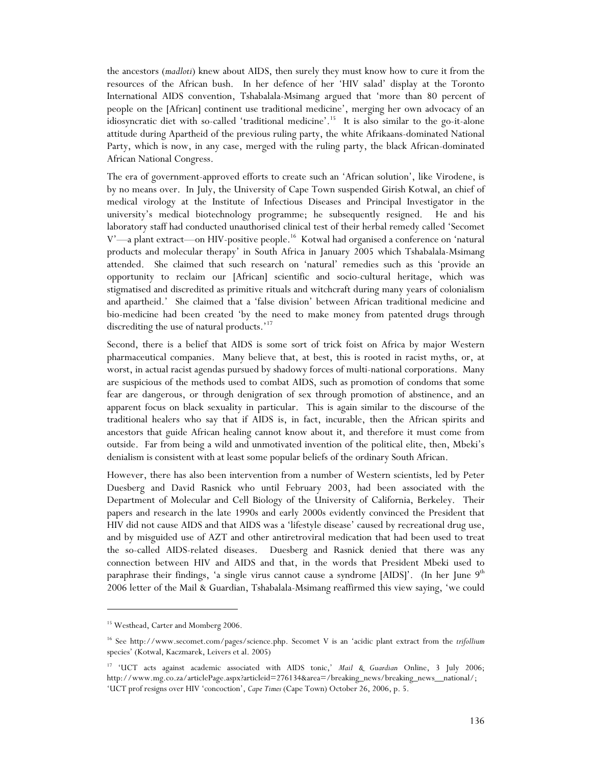the ancestors (*madloti*) knew about AIDS, then surely they must know how to cure it from the resources of the African bush. In her defence of her 'HIV salad' display at the Toronto International AIDS convention, Tshabalala-Msimang argued that 'more than 80 percent of people on the [African] continent use traditional medicine', merging her own advocacy of an idiosyncratic diet with so-called 'traditional medicine'.<sup>15</sup> It is also similar to the go-it-alone attitude during Apartheid of the previous ruling party, the white Afrikaans-dominated National Party, which is now, in any case, merged with the ruling party, the black African-dominated African National Congress.

The era of government-approved efforts to create such an 'African solution', like Virodene, is by no means over. In July, the University of Cape Town suspended Girish Kotwal, an chief of medical virology at the Institute of Infectious Diseases and Principal Investigator in the university's medical biotechnology programme; he subsequently resigned. He and his laboratory staff had conducted unauthorised clinical test of their herbal remedy called 'Secomet V'—a plant extract—on HIV-positive people.<sup>16</sup> Kotwal had organised a conference on 'natural products and molecular therapy' in South Africa in January 2005 which Tshabalala-Msimang attended. She claimed that such research on 'natural' remedies such as this 'provide an opportunity to reclaim our [African] scientific and socio-cultural heritage, which was stigmatised and discredited as primitive rituals and witchcraft during many years of colonialism and apartheid.' She claimed that a 'false division' between African traditional medicine and bio-medicine had been created 'by the need to make money from patented drugs through discrediting the use of natural products.<sup>'17</sup>

Second, there is a belief that AIDS is some sort of trick foist on Africa by major Western pharmaceutical companies. Many believe that, at best, this is rooted in racist myths, or, at worst, in actual racist agendas pursued by shadowy forces of multi-national corporations. Many are suspicious of the methods used to combat AIDS, such as promotion of condoms that some fear are dangerous, or through denigration of sex through promotion of abstinence, and an apparent focus on black sexuality in particular. This is again similar to the discourse of the traditional healers who say that if AIDS is, in fact, incurable, then the African spirits and ancestors that guide African healing cannot know about it, and therefore it must come from outside. Far from being a wild and unmotivated invention of the political elite, then, Mbeki's denialism is consistent with at least some popular beliefs of the ordinary South African.

However, there has also been intervention from a number of Western scientists, led by Peter Duesberg and David Rasnick who until February 2003, had been associated with the Department of Molecular and Cell Biology of the University of California, Berkeley. Their papers and research in the late 1990s and early 2000s evidently convinced the President that HIV did not cause AIDS and that AIDS was a 'lifestyle disease' caused by recreational drug use, and by misguided use of AZT and other antiretroviral medication that had been used to treat the so-called AIDS-related diseases. Duesberg and Rasnick denied that there was any connection between HIV and AIDS and that, in the words that President Mbeki used to paraphrase their findings, 'a single virus cannot cause a syndrome [AIDS]'. (In her June 9<sup>th</sup> 2006 letter of the Mail & Guardian, Tshabalala-Msimang reaffirmed this view saying, 'we could

<sup>&</sup>lt;sup>15</sup> Westhead, Carter and Momberg 2006.

<sup>16</sup> See http://www.secomet.com/pages/science.php. Secomet V is an 'acidic plant extract from the *trifollium* species' (Kotwal, Kaczmarek, Leivers et al. 2005)

<sup>17 &#</sup>x27;UCT acts against academic associated with AIDS tonic,' *Mail & Guardian* Online, 3 July 2006; http://www.mg.co.za/articlePage.aspx?articleid=276134&area=/breaking\_news/breaking\_news\_\_national/; 'UCT prof resigns over HIV 'concoction', *Cape Times* (Cape Town) October 26, 2006, p. 5.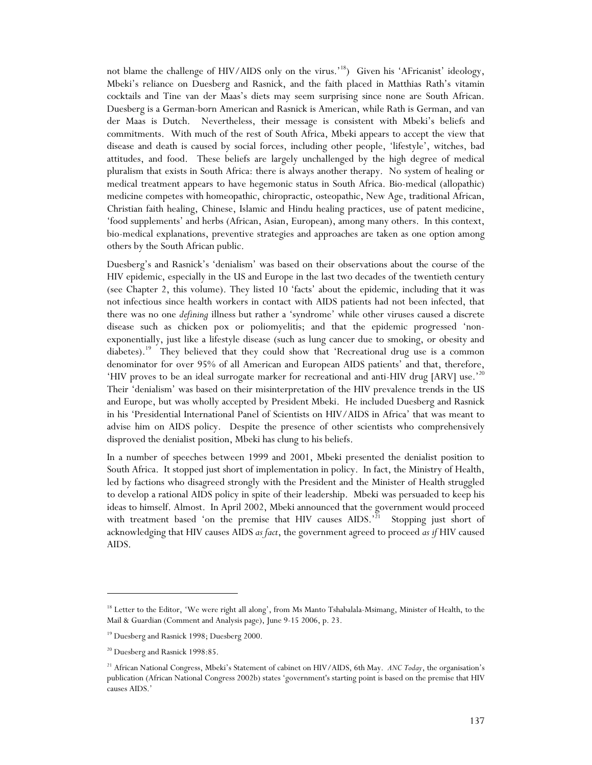not blame the challenge of HIV/AIDS only on the virus.'<sup>18</sup>) Given his 'AFricanist' ideology, Mbeki's reliance on Duesberg and Rasnick, and the faith placed in Matthias Rath's vitamin cocktails and Tine van der Maas's diets may seem surprising since none are South African. Duesberg is a German-born American and Rasnick is American, while Rath is German, and van der Maas is Dutch. Nevertheless, their message is consistent with Mbeki's beliefs and commitments. With much of the rest of South Africa, Mbeki appears to accept the view that disease and death is caused by social forces, including other people, 'lifestyle', witches, bad attitudes, and food. These beliefs are largely unchallenged by the high degree of medical pluralism that exists in South Africa: there is always another therapy. No system of healing or medical treatment appears to have hegemonic status in South Africa. Bio-medical (allopathic) medicine competes with homeopathic, chiropractic, osteopathic, New Age, traditional African, Christian faith healing, Chinese, Islamic and Hindu healing practices, use of patent medicine, 'food supplements' and herbs (African, Asian, European), among many others. In this context, bio-medical explanations, preventive strategies and approaches are taken as one option among others by the South African public.

Duesberg's and Rasnick's 'denialism' was based on their observations about the course of the HIV epidemic, especially in the US and Europe in the last two decades of the twentieth century (see Chapter 2, this volume). They listed 10 'facts' about the epidemic, including that it was not infectious since health workers in contact with AIDS patients had not been infected, that there was no one *defining* illness but rather a 'syndrome' while other viruses caused a discrete disease such as chicken pox or poliomyelitis; and that the epidemic progressed 'nonexponentially, just like a lifestyle disease (such as lung cancer due to smoking, or obesity and diabetes).<sup>19</sup> They believed that they could show that 'Recreational drug use is a common denominator for over 95% of all American and European AIDS patients' and that, therefore, 'HIV proves to be an ideal surrogate marker for recreational and anti-HIV drug [ARV] use.'<sup>20</sup> Their 'denialism' was based on their misinterpretation of the HIV prevalence trends in the US and Europe, but was wholly accepted by President Mbeki. He included Duesberg and Rasnick in his 'Presidential International Panel of Scientists on HIV/AIDS in Africa' that was meant to advise him on AIDS policy. Despite the presence of other scientists who comprehensively disproved the denialist position, Mbeki has clung to his beliefs.

In a number of speeches between 1999 and 2001, Mbeki presented the denialist position to South Africa. It stopped just short of implementation in policy. In fact, the Ministry of Health, led by factions who disagreed strongly with the President and the Minister of Health struggled to develop a rational AIDS policy in spite of their leadership. Mbeki was persuaded to keep his ideas to himself. Almost. In April 2002, Mbeki announced that the government would proceed with treatment based 'on the premise that HIV causes AIDS.'<sup>21</sup> Stopping just short of acknowledging that HIV causes AIDS *as fact*, the government agreed to proceed *as if* HIV caused AIDS.

<sup>&</sup>lt;sup>18</sup> Letter to the Editor, 'We were right all along', from Ms Manto Tshabalala-Msimang, Minister of Health, to the Mail & Guardian (Comment and Analysis page), June 9-15 2006, p. 23.

<sup>&</sup>lt;sup>19</sup> Duesberg and Rasnick 1998; Duesberg 2000.

<sup>&</sup>lt;sup>20</sup> Duesberg and Rasnick 1998:85.

<sup>&</sup>lt;sup>21</sup> African National Congress, Mbeki's Statement of cabinet on HIV/AIDS, 6th May. *ANC Today*, the organisation's publication (African National Congress 2002b) states 'government's starting point is based on the premise that HIV causes AIDS.'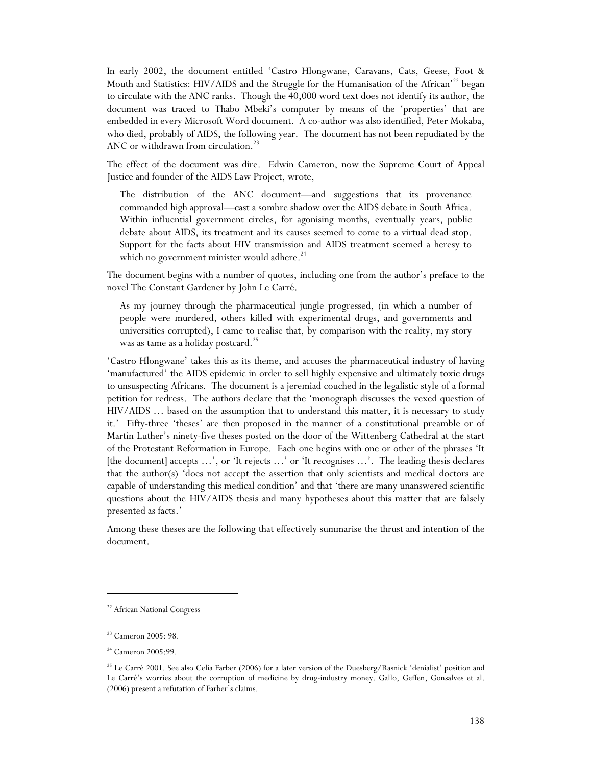In early 2002, the document entitled 'Castro Hlongwane, Caravans, Cats, Geese, Foot & Mouth and Statistics: HIV/AIDS and the Struggle for the Humanisation of the African'<sup>22</sup> began to circulate with the ANC ranks. Though the 40,000 word text does not identify its author, the document was traced to Thabo Mbeki's computer by means of the 'properties' that are embedded in every Microsoft Word document. A co-author was also identified, Peter Mokaba, who died, probably of AIDS, the following year. The document has not been repudiated by the ANC or withdrawn from circulation.<sup>23</sup>

The effect of the document was dire. Edwin Cameron, now the Supreme Court of Appeal Justice and founder of the AIDS Law Project, wrote,

The distribution of the ANC document—and suggestions that its provenance commanded high approval—cast a sombre shadow over the AIDS debate in South Africa. Within influential government circles, for agonising months, eventually years, public debate about AIDS, its treatment and its causes seemed to come to a virtual dead stop. Support for the facts about HIV transmission and AIDS treatment seemed a heresy to which no government minister would adhere. $24$ 

The document begins with a number of quotes, including one from the author's preface to the novel The Constant Gardener by John Le Carré.

As my journey through the pharmaceutical jungle progressed, (in which a number of people were murdered, others killed with experimental drugs, and governments and universities corrupted), I came to realise that, by comparison with the reality, my story was as tame as a holiday postcard.<sup>25</sup>

'Castro Hlongwane' takes this as its theme, and accuses the pharmaceutical industry of having 'manufactured' the AIDS epidemic in order to sell highly expensive and ultimately toxic drugs to unsuspecting Africans. The document is a jeremiad couched in the legalistic style of a formal petition for redress. The authors declare that the 'monograph discusses the vexed question of HIV/AIDS … based on the assumption that to understand this matter, it is necessary to study it.' Fifty-three 'theses' are then proposed in the manner of a constitutional preamble or of Martin Luther's ninety-five theses posted on the door of the Wittenberg Cathedral at the start of the Protestant Reformation in Europe. Each one begins with one or other of the phrases 'It [the document] accepts …', or 'It rejects …' or 'It recognises …'. The leading thesis declares that the author(s) 'does not accept the assertion that only scientists and medical doctors are capable of understanding this medical condition' and that 'there are many unanswered scientific questions about the HIV/AIDS thesis and many hypotheses about this matter that are falsely presented as facts.'

Among these theses are the following that effectively summarise the thrust and intention of the document.

<sup>&</sup>lt;sup>22</sup> African National Congress

<sup>23</sup> Cameron 2005: 98.

<sup>&</sup>lt;sup>24</sup> Cameron 2005:99.

<sup>&</sup>lt;sup>25</sup> Le Carré 2001. See also Celia Farber (2006) for a later version of the Duesberg/Rasnick 'denialist' position and Le Carré's worries about the corruption of medicine by drug-industry money. Gallo, Geffen, Gonsalves et al. (2006) present a refutation of Farber's claims.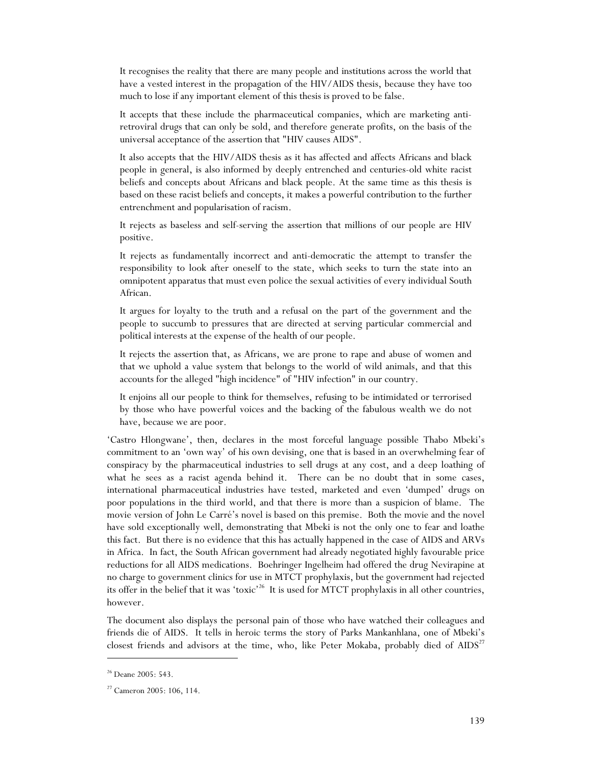It recognises the reality that there are many people and institutions across the world that have a vested interest in the propagation of the HIV/AIDS thesis, because they have too much to lose if any important element of this thesis is proved to be false.

It accepts that these include the pharmaceutical companies, which are marketing antiretroviral drugs that can only be sold, and therefore generate profits, on the basis of the universal acceptance of the assertion that "HIV causes AIDS".

It also accepts that the HIV/AIDS thesis as it has affected and affects Africans and black people in general, is also informed by deeply entrenched and centuries-old white racist beliefs and concepts about Africans and black people. At the same time as this thesis is based on these racist beliefs and concepts, it makes a powerful contribution to the further entrenchment and popularisation of racism.

It rejects as baseless and self-serving the assertion that millions of our people are HIV positive.

It rejects as fundamentally incorrect and anti-democratic the attempt to transfer the responsibility to look after oneself to the state, which seeks to turn the state into an omnipotent apparatus that must even police the sexual activities of every individual South African.

It argues for loyalty to the truth and a refusal on the part of the government and the people to succumb to pressures that are directed at serving particular commercial and political interests at the expense of the health of our people.

It rejects the assertion that, as Africans, we are prone to rape and abuse of women and that we uphold a value system that belongs to the world of wild animals, and that this accounts for the alleged "high incidence" of "HIV infection" in our country.

It enjoins all our people to think for themselves, refusing to be intimidated or terrorised by those who have powerful voices and the backing of the fabulous wealth we do not have, because we are poor.

'Castro Hlongwane', then, declares in the most forceful language possible Thabo Mbeki's commitment to an 'own way' of his own devising, one that is based in an overwhelming fear of conspiracy by the pharmaceutical industries to sell drugs at any cost, and a deep loathing of what he sees as a racist agenda behind it. There can be no doubt that in some cases, international pharmaceutical industries have tested, marketed and even 'dumped' drugs on poor populations in the third world, and that there is more than a suspicion of blame. The movie version of John Le Carré's novel is based on this premise. Both the movie and the novel have sold exceptionally well, demonstrating that Mbeki is not the only one to fear and loathe this fact. But there is no evidence that this has actually happened in the case of AIDS and ARVs in Africa. In fact, the South African government had already negotiated highly favourable price reductions for all AIDS medications. Boehringer Ingelheim had offered the drug Nevirapine at no charge to government clinics for use in MTCT prophylaxis, but the government had rejected its offer in the belief that it was 'toxic'<sup>26</sup> It is used for MTCT prophylaxis in all other countries, however.

The document also displays the personal pain of those who have watched their colleagues and friends die of AIDS. It tells in heroic terms the story of Parks Mankanhlana, one of Mbeki's closest friends and advisors at the time, who, like Peter Mokaba, probably died of  $AIDS<sup>27</sup>$ 

<sup>&</sup>lt;sup>26</sup> Deane 2005: 543.

<sup>27</sup> Cameron 2005: 106, 114.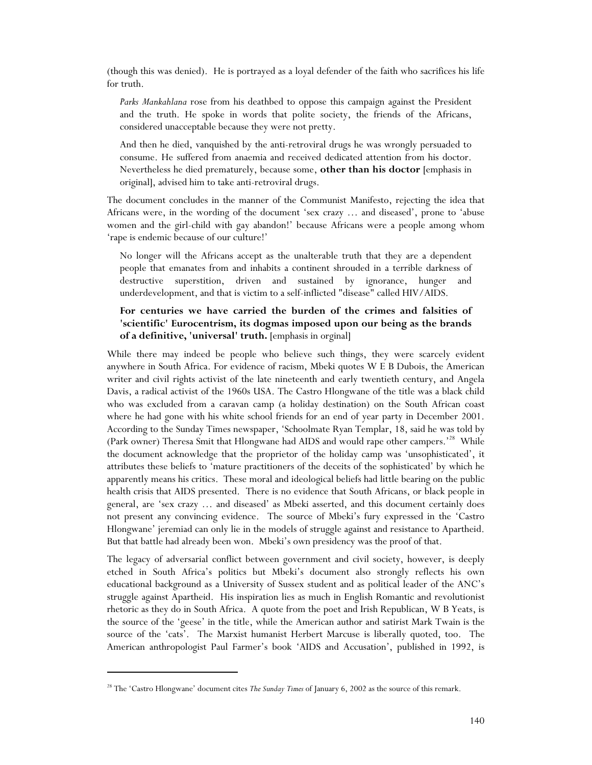(though this was denied). He is portrayed as a loyal defender of the faith who sacrifices his life for truth.

*Parks Mankahlana* rose from his deathbed to oppose this campaign against the President and the truth. He spoke in words that polite society, the friends of the Africans, considered unacceptable because they were not pretty.

And then he died, vanquished by the anti-retroviral drugs he was wrongly persuaded to consume. He suffered from anaemia and received dedicated attention from his doctor. Nevertheless he died prematurely, because some, **other than his doctor** [emphasis in original], advised him to take anti-retroviral drugs.

The document concludes in the manner of the Communist Manifesto, rejecting the idea that Africans were, in the wording of the document 'sex crazy … and diseased', prone to 'abuse women and the girl-child with gay abandon!' because Africans were a people among whom 'rape is endemic because of our culture!'

No longer will the Africans accept as the unalterable truth that they are a dependent people that emanates from and inhabits a continent shrouded in a terrible darkness of destructive superstition, driven and sustained by ignorance, hunger and underdevelopment, and that is victim to a self-inflicted "disease" called HIV/AIDS.

## **For centuries we have carried the burden of the crimes and falsities of 'scientific' Eurocentrism, its dogmas imposed upon our being as the brands of a definitive, 'universal' truth.** [emphasis in orginal]

While there may indeed be people who believe such things, they were scarcely evident anywhere in South Africa. For evidence of racism, Mbeki quotes W E B Dubois, the American writer and civil rights activist of the late nineteenth and early twentieth century, and Angela Davis, a radical activist of the 1960s USA. The Castro Hlongwane of the title was a black child who was excluded from a caravan camp (a holiday destination) on the South African coast where he had gone with his white school friends for an end of year party in December 2001. According to the Sunday Times newspaper, 'Schoolmate Ryan Templar, 18, said he was told by (Park owner) Theresa Smit that Hlongwane had AIDS and would rape other campers.'28 While the document acknowledge that the proprietor of the holiday camp was 'unsophisticated', it attributes these beliefs to 'mature practitioners of the deceits of the sophisticated' by which he apparently means his critics. These moral and ideological beliefs had little bearing on the public health crisis that AIDS presented. There is no evidence that South Africans, or black people in general, are 'sex crazy … and diseased' as Mbeki asserted, and this document certainly does not present any convincing evidence. The source of Mbeki's fury expressed in the 'Castro Hlongwane' jeremiad can only lie in the models of struggle against and resistance to Apartheid. But that battle had already been won. Mbeki's own presidency was the proof of that.

The legacy of adversarial conflict between government and civil society, however, is deeply etched in South Africa's politics but Mbeki's document also strongly reflects his own educational background as a University of Sussex student and as political leader of the ANC's struggle against Apartheid. His inspiration lies as much in English Romantic and revolutionist rhetoric as they do in South Africa. A quote from the poet and Irish Republican, W B Yeats, is the source of the 'geese' in the title, while the American author and satirist Mark Twain is the source of the 'cats'. The Marxist humanist Herbert Marcuse is liberally quoted, too. The American anthropologist Paul Farmer's book 'AIDS and Accusation', published in 1992, is

<sup>28</sup> The 'Castro Hlongwane' document cites *The Sunday Times* of January 6, 2002 as the source of this remark.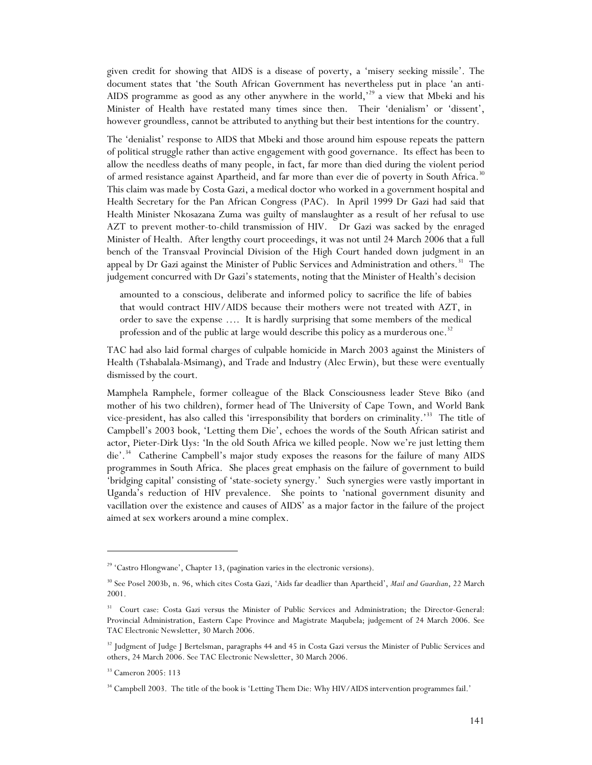given credit for showing that AIDS is a disease of poverty, a 'misery seeking missile'. The document states that 'the South African Government has nevertheless put in place 'an anti-AIDS programme as good as any other anywhere in the world,<sup>29</sup> a view that Mbeki and his Minister of Health have restated many times since then. Their 'denialism' or 'dissent', however groundless, cannot be attributed to anything but their best intentions for the country.

The 'denialist' response to AIDS that Mbeki and those around him espouse repeats the pattern of political struggle rather than active engagement with good governance. Its effect has been to allow the needless deaths of many people, in fact, far more than died during the violent period of armed resistance against Apartheid, and far more than ever die of poverty in South Africa.<sup>30</sup> This claim was made by Costa Gazi, a medical doctor who worked in a government hospital and Health Secretary for the Pan African Congress (PAC). In April 1999 Dr Gazi had said that Health Minister Nkosazana Zuma was guilty of manslaughter as a result of her refusal to use AZT to prevent mother-to-child transmission of HIV. Dr Gazi was sacked by the enraged Minister of Health. After lengthy court proceedings, it was not until 24 March 2006 that a full bench of the Transvaal Provincial Division of the High Court handed down judgment in an appeal by Dr Gazi against the Minister of Public Services and Administration and others.<sup>31</sup> The judgement concurred with Dr Gazi's statements, noting that the Minister of Health's decision

amounted to a conscious, deliberate and informed policy to sacrifice the life of babies that would contract HIV/AIDS because their mothers were not treated with AZT, in order to save the expense …. It is hardly surprising that some members of the medical profession and of the public at large would describe this policy as a murderous one.<sup>32</sup>

TAC had also laid formal charges of culpable homicide in March 2003 against the Ministers of Health (Tshabalala-Msimang), and Trade and Industry (Alec Erwin), but these were eventually dismissed by the court.

Mamphela Ramphele, former colleague of the Black Consciousness leader Steve Biko (and mother of his two children), former head of The University of Cape Town, and World Bank vice-president, has also called this 'irresponsibility that borders on criminality.'33 The title of Campbell's 2003 book, 'Letting them Die', echoes the words of the South African satirist and actor, Pieter-Dirk Uys: 'In the old South Africa we killed people. Now we're just letting them die'.<sup>34</sup> Catherine Campbell's major study exposes the reasons for the failure of many AIDS programmes in South Africa. She places great emphasis on the failure of government to build 'bridging capital' consisting of 'state-society synergy.' Such synergies were vastly important in Uganda's reduction of HIV prevalence. She points to 'national government disunity and vacillation over the existence and causes of AIDS' as a major factor in the failure of the project aimed at sex workers around a mine complex.

<sup>&</sup>lt;sup>29</sup> 'Castro Hlongwane', Chapter 13, (pagination varies in the electronic versions).

<sup>30</sup> See Posel 2003b, n. 96, which cites Costa Gazi, 'Aids far deadlier than Apartheid', *Mail and Guardian*, 22 March 2001.

<sup>&</sup>lt;sup>31</sup> Court case: Costa Gazi versus the Minister of Public Services and Administration; the Director-General: Provincial Administration, Eastern Cape Province and Magistrate Maqubela; judgement of 24 March 2006. See TAC Electronic Newsletter, 30 March 2006.

<sup>&</sup>lt;sup>32</sup> Judgment of Judge J Bertelsman, paragraphs 44 and 45 in Costa Gazi versus the Minister of Public Services and others, 24 March 2006. See TAC Electronic Newsletter, 30 March 2006.

<sup>33</sup> Cameron 2005: 113

<sup>&</sup>lt;sup>34</sup> Campbell 2003. The title of the book is 'Letting Them Die: Why HIV/AIDS intervention programmes fail.'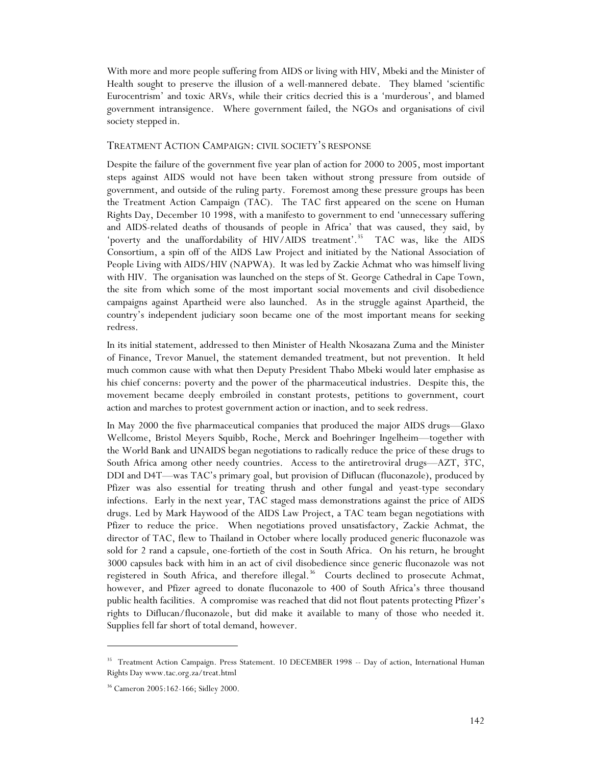With more and more people suffering from AIDS or living with HIV, Mbeki and the Minister of Health sought to preserve the illusion of a well-mannered debate. They blamed 'scientific Eurocentrism' and toxic ARVs, while their critics decried this is a 'murderous', and blamed government intransigence. Where government failed, the NGOs and organisations of civil society stepped in.

#### TREATMENT ACTION CAMPAIGN: CIVIL SOCIETY'S RESPONSE

Despite the failure of the government five year plan of action for 2000 to 2005, most important steps against AIDS would not have been taken without strong pressure from outside of government, and outside of the ruling party. Foremost among these pressure groups has been the Treatment Action Campaign (TAC). The TAC first appeared on the scene on Human Rights Day, December 10 1998, with a manifesto to government to end 'unnecessary suffering and AIDS-related deaths of thousands of people in Africa' that was caused, they said, by 'poverty and the unaffordability of HIV/AIDS treatment'.<sup>35</sup> TAC was, like the AIDS Consortium, a spin off of the AIDS Law Project and initiated by the National Association of People Living with AIDS/HIV (NAPWA). It was led by Zackie Achmat who was himself living with HIV. The organisation was launched on the steps of St. George Cathedral in Cape Town, the site from which some of the most important social movements and civil disobedience campaigns against Apartheid were also launched. As in the struggle against Apartheid, the country's independent judiciary soon became one of the most important means for seeking redress.

In its initial statement, addressed to then Minister of Health Nkosazana Zuma and the Minister of Finance, Trevor Manuel, the statement demanded treatment, but not prevention. It held much common cause with what then Deputy President Thabo Mbeki would later emphasise as his chief concerns: poverty and the power of the pharmaceutical industries. Despite this, the movement became deeply embroiled in constant protests, petitions to government, court action and marches to protest government action or inaction, and to seek redress.

In May 2000 the five pharmaceutical companies that produced the major AIDS drugs—Glaxo Wellcome, Bristol Meyers Squibb, Roche, Merck and Boehringer Ingelheim—together with the World Bank and UNAIDS began negotiations to radically reduce the price of these drugs to South Africa among other needy countries. Access to the antiretroviral drugs—AZT, 3TC, DDI and D4T—was TAC's primary goal, but provision of Diflucan (fluconazole), produced by Pfizer was also essential for treating thrush and other fungal and yeast-type secondary infections. Early in the next year, TAC staged mass demonstrations against the price of AIDS drugs. Led by Mark Haywood of the AIDS Law Project, a TAC team began negotiations with Pfizer to reduce the price. When negotiations proved unsatisfactory, Zackie Achmat, the director of TAC, flew to Thailand in October where locally produced generic fluconazole was sold for 2 rand a capsule, one-fortieth of the cost in South Africa. On his return, he brought 3000 capsules back with him in an act of civil disobedience since generic fluconazole was not registered in South Africa, and therefore illegal.<sup>36</sup> Courts declined to prosecute Achmat, however, and Pfizer agreed to donate fluconazole to 400 of South Africa's three thousand public health facilities. A compromise was reached that did not flout patents protecting Pfizer's rights to Diflucan/fluconazole, but did make it available to many of those who needed it. Supplies fell far short of total demand, however.

<sup>&</sup>lt;sup>35</sup> Treatment Action Campaign. Press Statement. 10 DECEMBER 1998 -- Day of action, International Human Rights Day www.tac.org.za/treat.html

<sup>36</sup> Cameron 2005:162-166; Sidley 2000.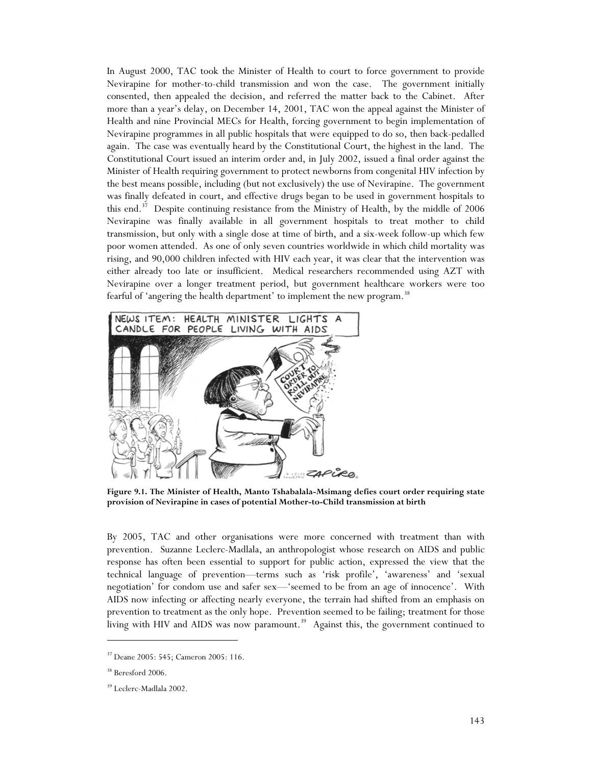In August 2000, TAC took the Minister of Health to court to force government to provide Nevirapine for mother-to-child transmission and won the case. The government initially consented, then appealed the decision, and referred the matter back to the Cabinet. After more than a year's delay, on December 14, 2001, TAC won the appeal against the Minister of Health and nine Provincial MECs for Health, forcing government to begin implementation of Nevirapine programmes in all public hospitals that were equipped to do so, then back-pedalled again. The case was eventually heard by the Constitutional Court, the highest in the land. The Constitutional Court issued an interim order and, in July 2002, issued a final order against the Minister of Health requiring government to protect newborns from congenital HIV infection by the best means possible, including (but not exclusively) the use of Nevirapine. The government was finally defeated in court, and effective drugs began to be used in government hospitals to this end.<sup>37</sup> Despite continuing resistance from the Ministry of Health, by the middle of 2006 Nevirapine was finally available in all government hospitals to treat mother to child transmission, but only with a single dose at time of birth, and a six-week follow-up which few poor women attended. As one of only seven countries worldwide in which child mortality was rising, and 90,000 children infected with HIV each year, it was clear that the intervention was either already too late or insufficient. Medical researchers recommended using AZT with Nevirapine over a longer treatment period, but government healthcare workers were too fearful of 'angering the health department' to implement the new program.<sup>38</sup>



**Figure 9.1. The Minister of Health, Manto Tshabalala-Msimang defies court order requiring state provision of Nevirapine in cases of potential Mother-to-Child transmission at birth** 

By 2005, TAC and other organisations were more concerned with treatment than with prevention. Suzanne Leclerc-Madlala, an anthropologist whose research on AIDS and public response has often been essential to support for public action, expressed the view that the technical language of prevention—terms such as 'risk profile', 'awareness' and 'sexual negotiation' for condom use and safer sex—'seemed to be from an age of innocence'. With AIDS now infecting or affecting nearly everyone, the terrain had shifted from an emphasis on prevention to treatment as the only hope. Prevention seemed to be failing; treatment for those living with HIV and AIDS was now paramount.<sup>39</sup> Against this, the government continued to

<sup>37</sup> Deane 2005: 545; Cameron 2005: 116.

<sup>&</sup>lt;sup>38</sup> Beresford 2006.

<sup>39</sup> Leclerc-Madlala 2002.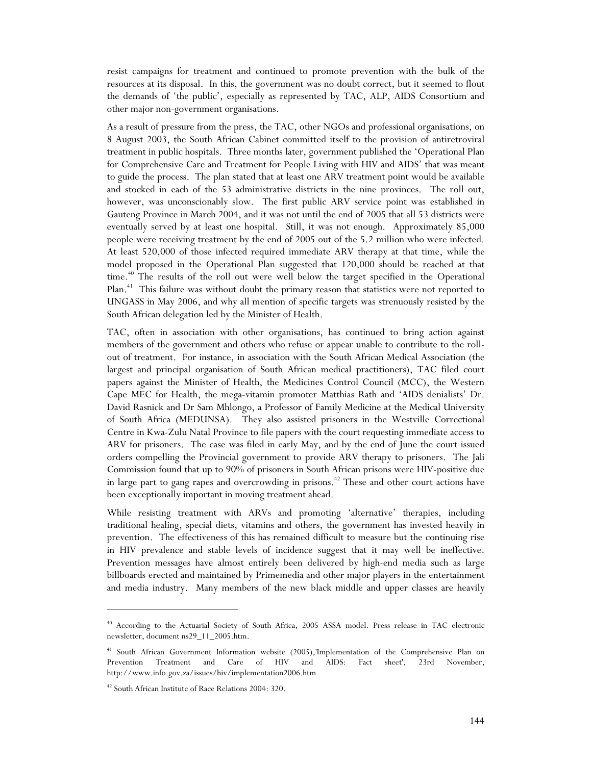resist campaigns for treatment and continued to promote prevention with the bulk of the resources at its disposal. In this, the government was no doubt correct, but it seemed to flout the demands of 'the public', especially as represented by TAC, ALP, AIDS Consortium and other major non-government organisations.

As a result of pressure from the press, the TAC, other NGOs and professional organisations, on 8 August 2003, the South African Cabinet committed itself to the provision of antiretroviral treatment in public hospitals. Three months later, government published the 'Operational Plan for Comprehensive Care and Treatment for People Living with HIV and AIDS' that was meant to guide the process. The plan stated that at least one ARV treatment point would be available and stocked in each of the 53 administrative districts in the nine provinces. The roll out, however, was unconscionably slow. The first public ARV service point was established in Gauteng Province in March 2004, and it was not until the end of 2005 that all 53 districts were eventually served by at least one hospital. Still, it was not enough. Approximately 85,000 people were receiving treatment by the end of 2005 out of the 5.2 million who were infected. At least 520,000 of those infected required immediate ARV therapy at that time, while the model proposed in the Operational Plan suggested that 120,000 should be reached at that time.<sup>40</sup> The results of the roll out were well below the target specified in the Operational Plan.<sup>41</sup> This failure was without doubt the primary reason that statistics were not reported to UNGASS in May 2006, and why all mention of specific targets was strenuously resisted by the South African delegation led by the Minister of Health.

TAC, often in association with other organisations, has continued to bring action against members of the government and others who refuse or appear unable to contribute to the rollout of treatment. For instance, in association with the South African Medical Association (the largest and principal organisation of South African medical practitioners), TAC filed court papers against the Minister of Health, the Medicines Control Council (MCC), the Western Cape MEC for Health, the mega-vitamin promoter Matthias Rath and 'AIDS denialists' Dr. David Rasnick and Dr Sam Mhlongo, a Professor of Family Medicine at the Medical University of South Africa (MEDUNSA). They also assisted prisoners in the Westville Correctional Centre in Kwa-Zulu Natal Province to file papers with the court requesting immediate access to ARV for prisoners. The case was filed in early May, and by the end of June the court issued orders compelling the Provincial government to provide ARV therapy to prisoners. The Jali Commission found that up to 90% of prisoners in South African prisons were HIV-positive due in large part to gang rapes and overcrowding in prisons.<sup>42</sup> These and other court actions have been exceptionally important in moving treatment ahead.

While resisting treatment with ARVs and promoting 'alternative' therapies, including traditional healing, special diets, vitamins and others, the government has invested heavily in prevention. The effectiveness of this has remained difficult to measure but the continuing rise in HIV prevalence and stable levels of incidence suggest that it may well be ineffective. Prevention messages have almost entirely been delivered by high-end media such as large billboards erected and maintained by Primemedia and other major players in the entertainment and media industry. Many members of the new black middle and upper classes are heavily

<sup>40</sup> According to the Actuarial Society of South Africa, 2005 ASSA model. Press release in TAC electronic newsletter, document ns29\_11\_2005.htm.

<sup>41</sup> South African Government Information website (2005),'Implementation of the Comprehensive Plan on Prevention Treatment and Care of HIV and AIDS: Fact sheet', 23rd November, http://www.info.gov.za/issues/hiv/implementation2006.htm

<sup>42</sup> South African Institute of Race Relations 2004: 320.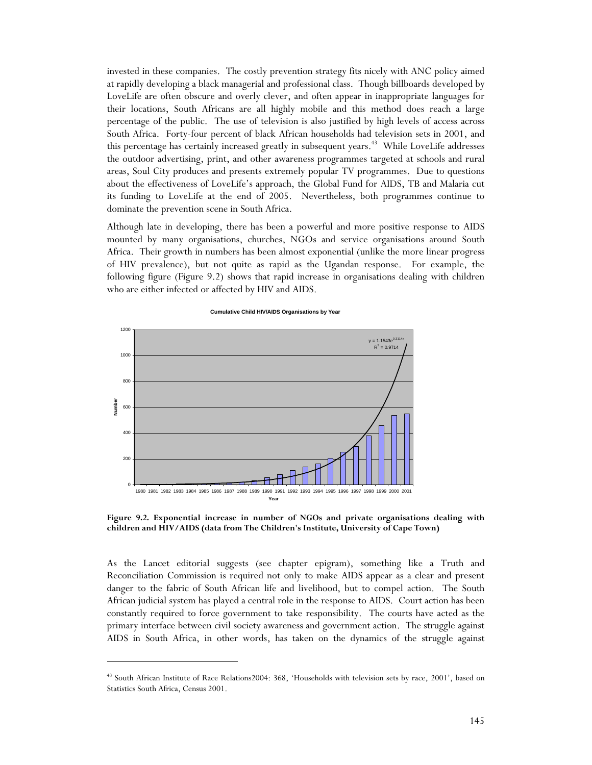invested in these companies. The costly prevention strategy fits nicely with ANC policy aimed at rapidly developing a black managerial and professional class. Though billboards developed by LoveLife are often obscure and overly clever, and often appear in inappropriate languages for their locations, South Africans are all highly mobile and this method does reach a large percentage of the public. The use of television is also justified by high levels of access across South Africa. Forty-four percent of black African households had television sets in 2001, and this percentage has certainly increased greatly in subsequent years.43 While LoveLife addresses the outdoor advertising, print, and other awareness programmes targeted at schools and rural areas, Soul City produces and presents extremely popular TV programmes. Due to questions about the effectiveness of LoveLife's approach, the Global Fund for AIDS, TB and Malaria cut its funding to LoveLife at the end of 2005. Nevertheless, both programmes continue to dominate the prevention scene in South Africa.

Although late in developing, there has been a powerful and more positive response to AIDS mounted by many organisations, churches, NGOs and service organisations around South Africa. Their growth in numbers has been almost exponential (unlike the more linear progress of HIV prevalence), but not quite as rapid as the Ugandan response. For example, the following figure (Figure 9.2) shows that rapid increase in organisations dealing with children who are either infected or affected by HIV and AIDS.



#### **Cumulative Child HIV/AIDS Organisations by Year**

**Figure 9.2. Exponential increase in number of NGOs and private organisations dealing with children and HIV/AIDS (data from The Children's Institute, University of Cape Town)** 

As the Lancet editorial suggests (see chapter epigram), something like a Truth and Reconciliation Commission is required not only to make AIDS appear as a clear and present danger to the fabric of South African life and livelihood, but to compel action. The South African judicial system has played a central role in the response to AIDS. Court action has been constantly required to force government to take responsibility. The courts have acted as the primary interface between civil society awareness and government action. The struggle against AIDS in South Africa, in other words, has taken on the dynamics of the struggle against

<sup>43</sup> South African Institute of Race Relations2004: 368, 'Households with television sets by race, 2001', based on Statistics South Africa, Census 2001.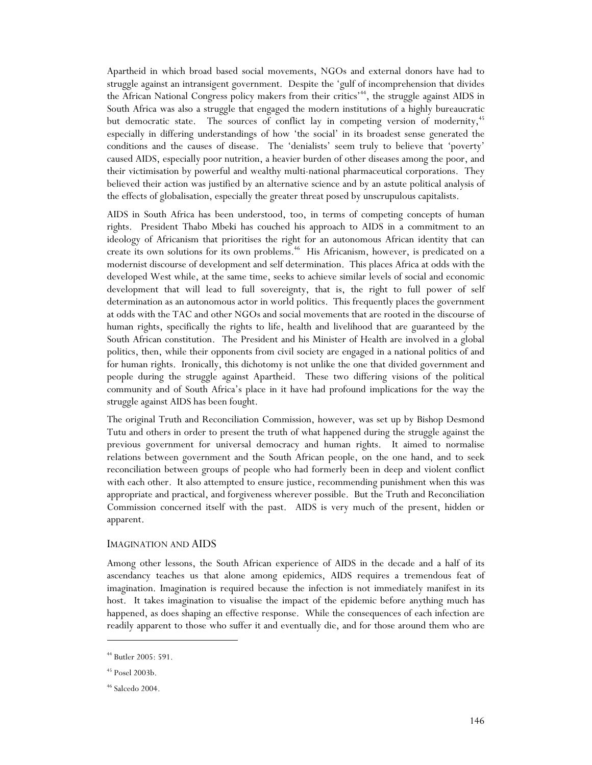Apartheid in which broad based social movements, NGOs and external donors have had to struggle against an intransigent government. Despite the 'gulf of incomprehension that divides the African National Congress policy makers from their critics'<sup>44</sup>, the struggle against AIDS in South Africa was also a struggle that engaged the modern institutions of a highly bureaucratic but democratic state. The sources of conflict lay in competing version of modernity,<sup>45</sup> especially in differing understandings of how 'the social' in its broadest sense generated the conditions and the causes of disease. The 'denialists' seem truly to believe that 'poverty' caused AIDS, especially poor nutrition, a heavier burden of other diseases among the poor, and their victimisation by powerful and wealthy multi-national pharmaceutical corporations. They believed their action was justified by an alternative science and by an astute political analysis of the effects of globalisation, especially the greater threat posed by unscrupulous capitalists.

AIDS in South Africa has been understood, too, in terms of competing concepts of human rights. President Thabo Mbeki has couched his approach to AIDS in a commitment to an ideology of Africanism that prioritises the right for an autonomous African identity that can create its own solutions for its own problems.<sup>46</sup> His Africanism, however, is predicated on a modernist discourse of development and self determination. This places Africa at odds with the developed West while, at the same time, seeks to achieve similar levels of social and economic development that will lead to full sovereignty, that is, the right to full power of self determination as an autonomous actor in world politics. This frequently places the government at odds with the TAC and other NGOs and social movements that are rooted in the discourse of human rights, specifically the rights to life, health and livelihood that are guaranteed by the South African constitution. The President and his Minister of Health are involved in a global politics, then, while their opponents from civil society are engaged in a national politics of and for human rights. Ironically, this dichotomy is not unlike the one that divided government and people during the struggle against Apartheid. These two differing visions of the political community and of South Africa's place in it have had profound implications for the way the struggle against AIDS has been fought.

The original Truth and Reconciliation Commission, however, was set up by Bishop Desmond Tutu and others in order to present the truth of what happened during the struggle against the previous government for universal democracy and human rights. It aimed to normalise relations between government and the South African people, on the one hand, and to seek reconciliation between groups of people who had formerly been in deep and violent conflict with each other. It also attempted to ensure justice, recommending punishment when this was appropriate and practical, and forgiveness wherever possible. But the Truth and Reconciliation Commission concerned itself with the past. AIDS is very much of the present, hidden or apparent.

#### IMAGINATION AND AIDS

Among other lessons, the South African experience of AIDS in the decade and a half of its ascendancy teaches us that alone among epidemics, AIDS requires a tremendous feat of imagination. Imagination is required because the infection is not immediately manifest in its host. It takes imagination to visualise the impact of the epidemic before anything much has happened, as does shaping an effective response. While the consequences of each infection are readily apparent to those who suffer it and eventually die, and for those around them who are

<sup>44</sup> Butler 2005: 591.

<sup>45</sup> Posel 2003b.

 $\,$   $^{46}$  Salcedo 2004.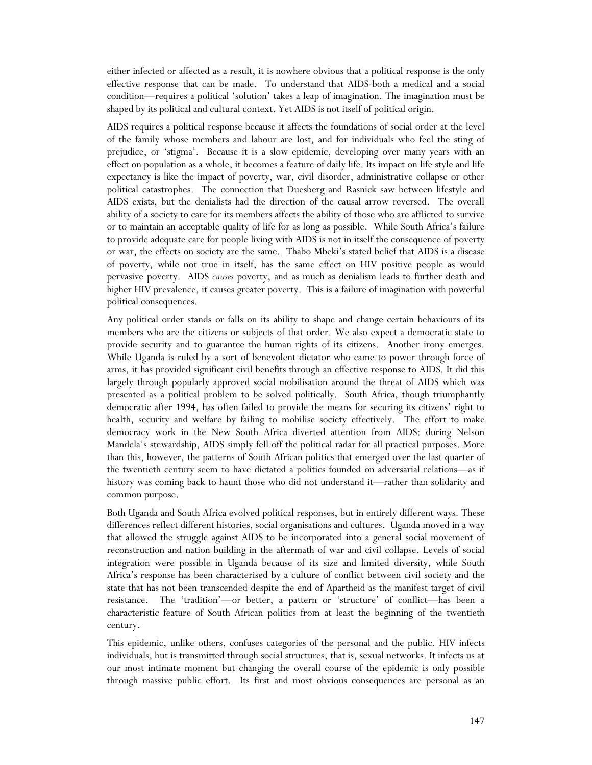either infected or affected as a result, it is nowhere obvious that a political response is the only effective response that can be made. To understand that AIDS-both a medical and a social condition—requires a political 'solution' takes a leap of imagination. The imagination must be shaped by its political and cultural context. Yet AIDS is not itself of political origin.

AIDS requires a political response because it affects the foundations of social order at the level of the family whose members and labour are lost, and for individuals who feel the sting of prejudice, or 'stigma'. Because it is a slow epidemic, developing over many years with an effect on population as a whole, it becomes a feature of daily life. Its impact on life style and life expectancy is like the impact of poverty, war, civil disorder, administrative collapse or other political catastrophes. The connection that Duesberg and Rasnick saw between lifestyle and AIDS exists, but the denialists had the direction of the causal arrow reversed. The overall ability of a society to care for its members affects the ability of those who are afflicted to survive or to maintain an acceptable quality of life for as long as possible. While South Africa's failure to provide adequate care for people living with AIDS is not in itself the consequence of poverty or war, the effects on society are the same. Thabo Mbeki's stated belief that AIDS is a disease of poverty, while not true in itself, has the same effect on HIV positive people as would pervasive poverty. AIDS *causes* poverty, and as much as denialism leads to further death and higher HIV prevalence, it causes greater poverty. This is a failure of imagination with powerful political consequences.

Any political order stands or falls on its ability to shape and change certain behaviours of its members who are the citizens or subjects of that order. We also expect a democratic state to provide security and to guarantee the human rights of its citizens. Another irony emerges. While Uganda is ruled by a sort of benevolent dictator who came to power through force of arms, it has provided significant civil benefits through an effective response to AIDS. It did this largely through popularly approved social mobilisation around the threat of AIDS which was presented as a political problem to be solved politically. South Africa, though triumphantly democratic after 1994, has often failed to provide the means for securing its citizens' right to health, security and welfare by failing to mobilise society effectively. The effort to make democracy work in the New South Africa diverted attention from AIDS: during Nelson Mandela's stewardship, AIDS simply fell off the political radar for all practical purposes. More than this, however, the patterns of South African politics that emerged over the last quarter of the twentieth century seem to have dictated a politics founded on adversarial relations—as if history was coming back to haunt those who did not understand it—rather than solidarity and common purpose.

Both Uganda and South Africa evolved political responses, but in entirely different ways. These differences reflect different histories, social organisations and cultures. Uganda moved in a way that allowed the struggle against AIDS to be incorporated into a general social movement of reconstruction and nation building in the aftermath of war and civil collapse. Levels of social integration were possible in Uganda because of its size and limited diversity, while South Africa's response has been characterised by a culture of conflict between civil society and the state that has not been transcended despite the end of Apartheid as the manifest target of civil resistance. The 'tradition'—or better, a pattern or 'structure' of conflict—has been a characteristic feature of South African politics from at least the beginning of the twentieth century.

This epidemic, unlike others, confuses categories of the personal and the public. HIV infects individuals, but is transmitted through social structures, that is, sexual networks. It infects us at our most intimate moment but changing the overall course of the epidemic is only possible through massive public effort. Its first and most obvious consequences are personal as an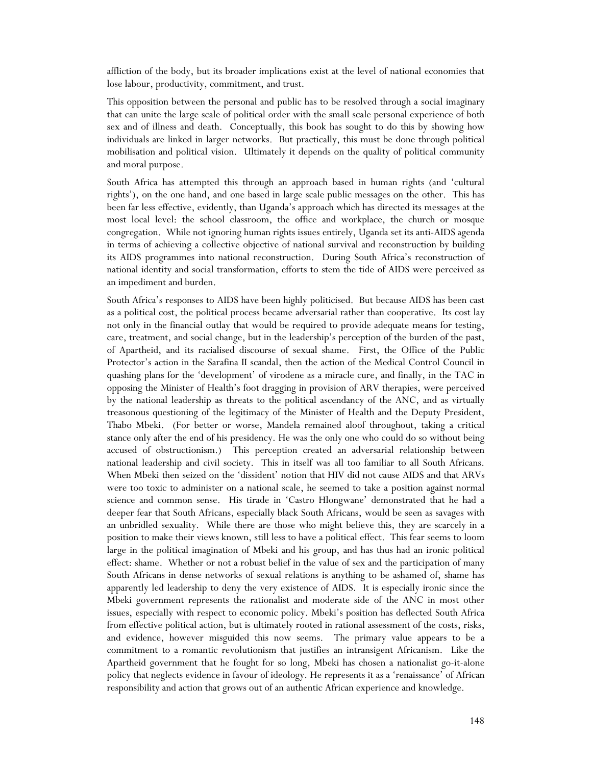affliction of the body, but its broader implications exist at the level of national economies that lose labour, productivity, commitment, and trust.

This opposition between the personal and public has to be resolved through a social imaginary that can unite the large scale of political order with the small scale personal experience of both sex and of illness and death. Conceptually, this book has sought to do this by showing how individuals are linked in larger networks. But practically, this must be done through political mobilisation and political vision. Ultimately it depends on the quality of political community and moral purpose.

South Africa has attempted this through an approach based in human rights (and 'cultural rights'), on the one hand, and one based in large scale public messages on the other. This has been far less effective, evidently, than Uganda's approach which has directed its messages at the most local level: the school classroom, the office and workplace, the church or mosque congregation. While not ignoring human rights issues entirely, Uganda set its anti-AIDS agenda in terms of achieving a collective objective of national survival and reconstruction by building its AIDS programmes into national reconstruction. During South Africa's reconstruction of national identity and social transformation, efforts to stem the tide of AIDS were perceived as an impediment and burden.

South Africa's responses to AIDS have been highly politicised. But because AIDS has been cast as a political cost, the political process became adversarial rather than cooperative. Its cost lay not only in the financial outlay that would be required to provide adequate means for testing, care, treatment, and social change, but in the leadership's perception of the burden of the past, of Apartheid, and its racialised discourse of sexual shame. First, the Office of the Public Protector's action in the Sarafina II scandal, then the action of the Medical Control Council in quashing plans for the 'development' of virodene as a miracle cure, and finally, in the TAC in opposing the Minister of Health's foot dragging in provision of ARV therapies, were perceived by the national leadership as threats to the political ascendancy of the ANC, and as virtually treasonous questioning of the legitimacy of the Minister of Health and the Deputy President, Thabo Mbeki. (For better or worse, Mandela remained aloof throughout, taking a critical stance only after the end of his presidency. He was the only one who could do so without being accused of obstructionism.) This perception created an adversarial relationship between national leadership and civil society. This in itself was all too familiar to all South Africans. When Mbeki then seized on the 'dissident' notion that HIV did not cause AIDS and that ARVs were too toxic to administer on a national scale, he seemed to take a position against normal science and common sense. His tirade in 'Castro Hlongwane' demonstrated that he had a deeper fear that South Africans, especially black South Africans, would be seen as savages with an unbridled sexuality. While there are those who might believe this, they are scarcely in a position to make their views known, still less to have a political effect. This fear seems to loom large in the political imagination of Mbeki and his group, and has thus had an ironic political effect: shame. Whether or not a robust belief in the value of sex and the participation of many South Africans in dense networks of sexual relations is anything to be ashamed of, shame has apparently led leadership to deny the very existence of AIDS. It is especially ironic since the Mbeki government represents the rationalist and moderate side of the ANC in most other issues, especially with respect to economic policy. Mbeki's position has deflected South Africa from effective political action, but is ultimately rooted in rational assessment of the costs, risks, and evidence, however misguided this now seems. The primary value appears to be a commitment to a romantic revolutionism that justifies an intransigent Africanism. Like the Apartheid government that he fought for so long, Mbeki has chosen a nationalist go-it-alone policy that neglects evidence in favour of ideology. He represents it as a 'renaissance' of African responsibility and action that grows out of an authentic African experience and knowledge.